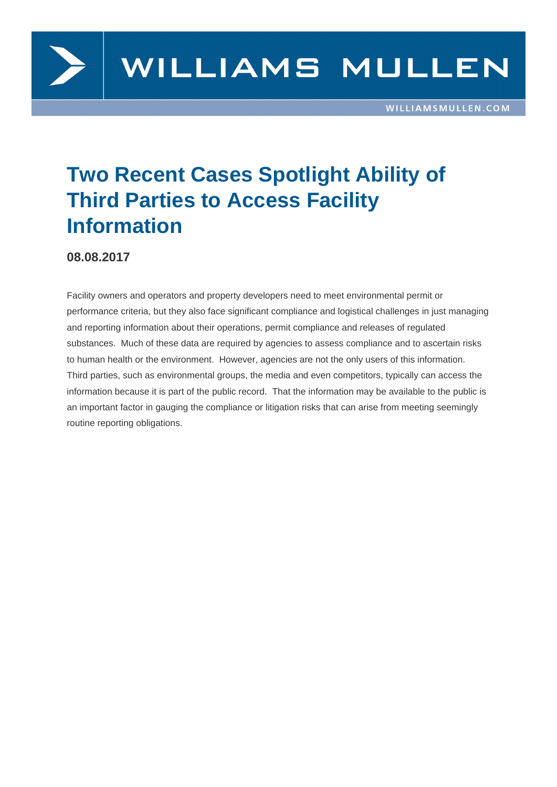

## **Two Recent Cases Spotlight Ability of Third Parties to Access Facility Information**

## **08.08.2017**

Facility owners and operators and property developers need to meet environmental permit or performance criteria, but they also face significant compliance and logistical challenges in just managing and reporting information about their operations, permit compliance and releases of regulated substances. Much of these data are required by agencies to assess compliance and to ascertain risks to human health or the environment. However, agencies are not the only users of this information. Third parties, such as environmental groups, the media and even competitors, typically can access the information because it is part of the public record. That the information may be available to the public is an important factor in gauging the compliance or litigation risks that can arise from meeting seemingly routine reporting obligations.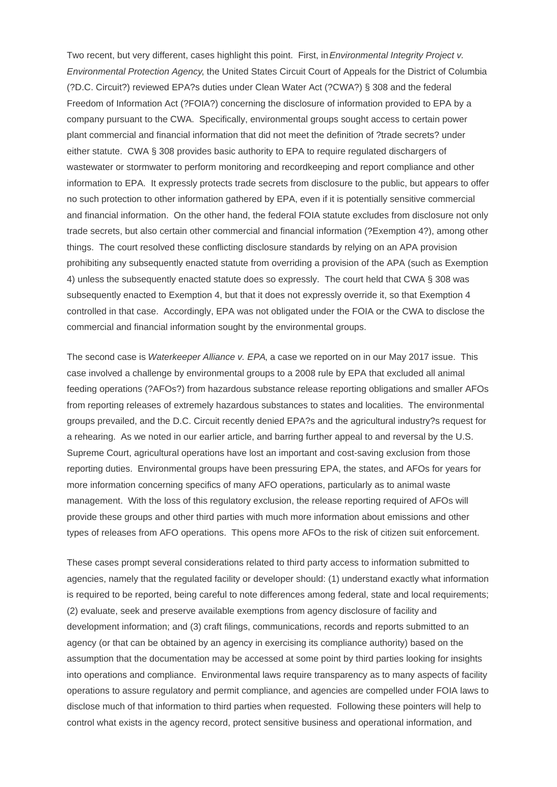Two recent, but very different, cases highlight this point. First, in Environmental Integrity Project v. Environmental Protection Agency, the United States Circuit Court of Appeals for the District of Columbia (?D.C. Circuit?) reviewed EPA?s duties under Clean Water Act (?CWA?) § 308 and the federal Freedom of Information Act (?FOIA?) concerning the disclosure of information provided to EPA by a company pursuant to the CWA. Specifically, environmental groups sought access to certain power plant commercial and financial information that did not meet the definition of ?trade secrets? under either statute. CWA § 308 provides basic authority to EPA to require regulated dischargers of wastewater or stormwater to perform monitoring and recordkeeping and report compliance and other information to EPA. It expressly protects trade secrets from disclosure to the public, but appears to offer no such protection to other information gathered by EPA, even if it is potentially sensitive commercial and financial information. On the other hand, the federal FOIA statute excludes from disclosure not only trade secrets, but also certain other commercial and financial information (?Exemption 4?), among other things. The court resolved these conflicting disclosure standards by relying on an APA provision prohibiting any subsequently enacted statute from overriding a provision of the APA (such as Exemption 4) unless the subsequently enacted statute does so expressly. The court held that CWA § 308 was subsequently enacted to Exemption 4, but that it does not expressly override it, so that Exemption 4 controlled in that case. Accordingly, EPA was not obligated under the FOIA or the CWA to disclose the commercial and financial information sought by the environmental groups.

The second case is Waterkeeper Alliance v. EPA, a case we reported on in our May 2017 issue. This case involved a challenge by environmental groups to a 2008 rule by EPA that excluded all animal feeding operations (?AFOs?) from hazardous substance release reporting obligations and smaller AFOs from reporting releases of extremely hazardous substances to states and localities. The environmental groups prevailed, and the D.C. Circuit recently denied EPA?s and the agricultural industry?s request for a rehearing. As we noted in our earlier article, and barring further appeal to and reversal by the U.S. Supreme Court, agricultural operations have lost an important and cost-saving exclusion from those reporting duties. Environmental groups have been pressuring EPA, the states, and AFOs for years for more information concerning specifics of many AFO operations, particularly as to animal waste management. With the loss of this regulatory exclusion, the release reporting required of AFOs will provide these groups and other third parties with much more information about emissions and other types of releases from AFO operations. This opens more AFOs to the risk of citizen suit enforcement.

These cases prompt several considerations related to third party access to information submitted to agencies, namely that the regulated facility or developer should: (1) understand exactly what information is required to be reported, being careful to note differences among federal, state and local requirements; (2) evaluate, seek and preserve available exemptions from agency disclosure of facility and development information; and (3) craft filings, communications, records and reports submitted to an agency (or that can be obtained by an agency in exercising its compliance authority) based on the assumption that the documentation may be accessed at some point by third parties looking for insights into operations and compliance. Environmental laws require transparency as to many aspects of facility operations to assure regulatory and permit compliance, and agencies are compelled under FOIA laws to disclose much of that information to third parties when requested. Following these pointers will help to control what exists in the agency record, protect sensitive business and operational information, and